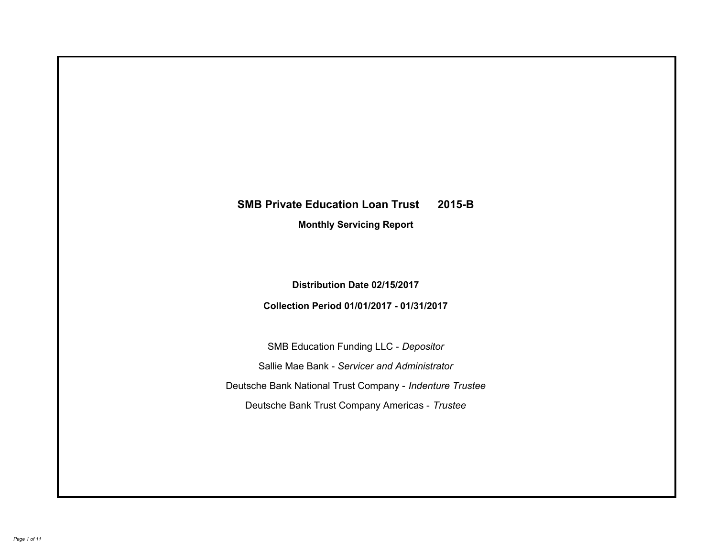# **SMB Private Education Loan Trust 2015-B Monthly Servicing Report**

**Distribution Date 02/15/2017**

**Collection Period 01/01/2017 - 01/31/2017**

SMB Education Funding LLC - *Depositor* Sallie Mae Bank - *Servicer and Administrator* Deutsche Bank National Trust Company - *Indenture Trustee* Deutsche Bank Trust Company Americas - *Trustee*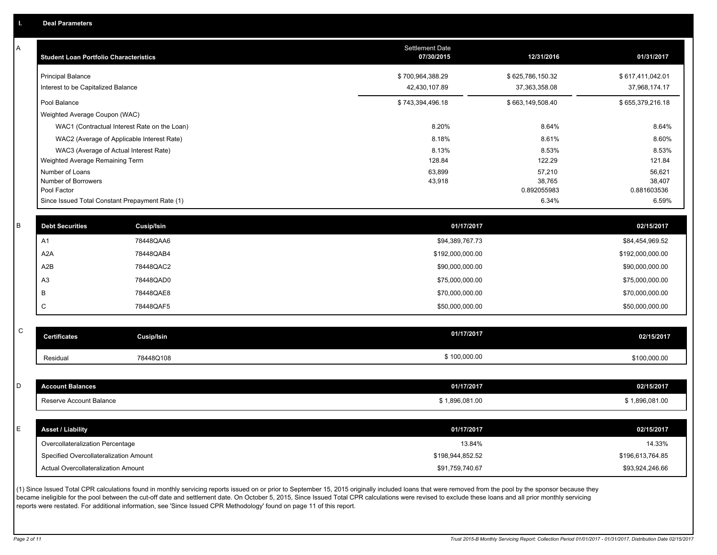A

| А | <b>Student Loan Portfolio Characteristics</b> |                                                 | <b>Settlement Date</b><br>07/30/2015 | 12/31/2016            | 01/31/2017            |
|---|-----------------------------------------------|-------------------------------------------------|--------------------------------------|-----------------------|-----------------------|
|   | <b>Principal Balance</b>                      |                                                 | \$700,964,388.29                     | \$625,786,150.32      | \$617,411,042.01      |
|   | Interest to be Capitalized Balance            |                                                 | 42,430,107.89                        | 37,363,358.08         | 37,968,174.17         |
|   | Pool Balance                                  |                                                 | \$743,394,496.18                     | \$663,149,508.40      | \$655,379,216.18      |
|   | Weighted Average Coupon (WAC)                 |                                                 |                                      |                       |                       |
|   |                                               | WAC1 (Contractual Interest Rate on the Loan)    | 8.20%                                | 8.64%                 | 8.64%                 |
|   |                                               | WAC2 (Average of Applicable Interest Rate)      | 8.18%                                | 8.61%                 | 8.60%                 |
|   |                                               | WAC3 (Average of Actual Interest Rate)          | 8.13%                                | 8.53%                 | 8.53%                 |
|   | Weighted Average Remaining Term               |                                                 | 128.84                               | 122.29                | 121.84                |
|   | Number of Loans                               |                                                 | 63,899                               | 57,210                | 56,621                |
|   | Number of Borrowers<br>Pool Factor            |                                                 | 43,918                               | 38,765<br>0.892055983 | 38,407<br>0.881603536 |
|   |                                               | Since Issued Total Constant Prepayment Rate (1) |                                      | 6.34%                 | 6.59%                 |
|   |                                               |                                                 |                                      |                       |                       |
|   | <b>Debt Securities</b>                        | Cusip/Isin                                      | 01/17/2017                           |                       | 02/15/2017            |
|   | A1                                            | 78448QAA6                                       | \$94,389,767.73                      |                       | \$84,454,969.52       |
|   | A <sub>2</sub> A                              | 78448QAB4                                       | \$192,000,000.00                     |                       | \$192,000,000.00      |
|   | A2B                                           | 78448QAC2                                       | \$90,000,000.00                      |                       | \$90,000,000.00       |
|   | A <sub>3</sub>                                | 78448QAD0                                       | \$75,000,000.00                      |                       | \$75,000,000.00       |
|   | В                                             | 78448QAE8                                       | \$70,000,000.00                      |                       | \$70,000,000.00       |
|   | C                                             | 78448QAF5                                       | \$50,000,000.00                      |                       | \$50,000,000.00       |
|   |                                               |                                                 |                                      |                       |                       |
| C | <b>Certificates</b>                           | <b>Cusip/Isin</b>                               | 01/17/2017                           |                       | 02/15/2017            |
|   | Residual                                      | 78448Q108                                       | \$100,000.00                         |                       | \$100,000.00          |
|   |                                               |                                                 |                                      |                       |                       |
| D | <b>Account Balances</b>                       |                                                 | 01/17/2017                           |                       | 02/15/2017            |

| E | <b>Asset / Liability</b>               | 01/17/2017       | 02/15/2017       |
|---|----------------------------------------|------------------|------------------|
|   | Overcollateralization Percentage       | 13.84%           | 14.33%           |
|   | Specified Overcollateralization Amount | \$198,944,852.52 | \$196,613,764.85 |
|   | Actual Overcollateralization Amount    | \$91,759,740.67  | \$93,924,246.66  |

Reserve Account Balance \$1,896,081.00 \$1,896,081.00 \$1,896,081.00 \$1,896,081.00 \$1,896,081.00

\$ 1,896,081.00

(1) Since Issued Total CPR calculations found in monthly servicing reports issued on or prior to September 15, 2015 originally included loans that were removed from the pool by the sponsor because they became ineligible for the pool between the cut-off date and settlement date. On October 5, 2015, Since Issued Total CPR calculations were revised to exclude these loans and all prior monthly servicing reports were restated. For additional information, see 'Since Issued CPR Methodology' found on page 11 of this report.

C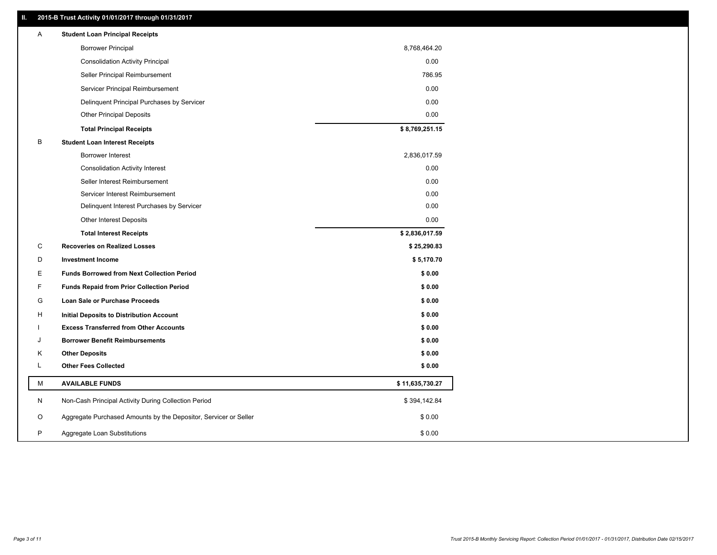# **II. 2015-B Trust Activity 01/01/2017 through 01/31/2017**

| Α | <b>Student Loan Principal Receipts</b>                           |                 |
|---|------------------------------------------------------------------|-----------------|
|   | <b>Borrower Principal</b>                                        | 8,768,464.20    |
|   | <b>Consolidation Activity Principal</b>                          | 0.00            |
|   | Seller Principal Reimbursement                                   | 786.95          |
|   | Servicer Principal Reimbursement                                 | 0.00            |
|   | Delinquent Principal Purchases by Servicer                       | 0.00            |
|   | Other Principal Deposits                                         | 0.00            |
|   | <b>Total Principal Receipts</b>                                  | \$8,769,251.15  |
| В | <b>Student Loan Interest Receipts</b>                            |                 |
|   | Borrower Interest                                                | 2,836,017.59    |
|   | <b>Consolidation Activity Interest</b>                           | 0.00            |
|   | Seller Interest Reimbursement                                    | 0.00            |
|   | Servicer Interest Reimbursement                                  | 0.00            |
|   | Delinquent Interest Purchases by Servicer                        | 0.00            |
|   | Other Interest Deposits                                          | 0.00            |
|   | <b>Total Interest Receipts</b>                                   | \$2,836,017.59  |
| С | <b>Recoveries on Realized Losses</b>                             | \$25,290.83     |
| D | <b>Investment Income</b>                                         | \$5,170.70      |
| Е | <b>Funds Borrowed from Next Collection Period</b>                | \$0.00          |
| F | <b>Funds Repaid from Prior Collection Period</b>                 | \$0.00          |
| G | Loan Sale or Purchase Proceeds                                   | \$0.00          |
| н | Initial Deposits to Distribution Account                         | \$0.00          |
|   | <b>Excess Transferred from Other Accounts</b>                    | \$0.00          |
| J | <b>Borrower Benefit Reimbursements</b>                           | \$0.00          |
| Κ | <b>Other Deposits</b>                                            | \$0.00          |
| L | <b>Other Fees Collected</b>                                      | \$0.00          |
| М | <b>AVAILABLE FUNDS</b>                                           | \$11,635,730.27 |
| N | Non-Cash Principal Activity During Collection Period             | \$394,142.84    |
| O | Aggregate Purchased Amounts by the Depositor, Servicer or Seller | \$0.00          |
| P | Aggregate Loan Substitutions                                     | \$0.00          |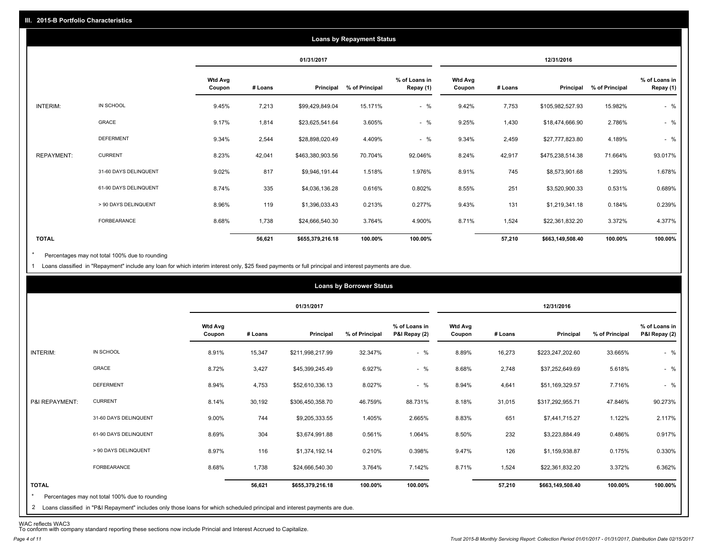|                   |                       |                          |         |                  | <b>Loans by Repayment Status</b> |                            |                          |         |                  |                |                            |
|-------------------|-----------------------|--------------------------|---------|------------------|----------------------------------|----------------------------|--------------------------|---------|------------------|----------------|----------------------------|
|                   |                       |                          |         | 01/31/2017       |                                  |                            |                          |         | 12/31/2016       |                |                            |
|                   |                       | <b>Wtd Avg</b><br>Coupon | # Loans | Principal        | % of Principal                   | % of Loans in<br>Repay (1) | <b>Wtd Avg</b><br>Coupon | # Loans | Principal        | % of Principal | % of Loans in<br>Repay (1) |
| INTERIM:          | IN SCHOOL             | 9.45%                    | 7,213   | \$99,429,849.04  | 15.171%                          | $-$ %                      | 9.42%                    | 7,753   | \$105,982,527.93 | 15.982%        | $-$ %                      |
|                   | GRACE                 | 9.17%                    | 1,814   | \$23,625,541.64  | 3.605%                           | $-$ %                      | 9.25%                    | 1,430   | \$18,474,666.90  | 2.786%         | $-$ %                      |
|                   | <b>DEFERMENT</b>      | 9.34%                    | 2,544   | \$28,898,020.49  | 4.409%                           | $-$ %                      | 9.34%                    | 2,459   | \$27,777,823.80  | 4.189%         | $-$ %                      |
| <b>REPAYMENT:</b> | <b>CURRENT</b>        | 8.23%                    | 42,041  | \$463,380,903.56 | 70.704%                          | 92.046%                    | 8.24%                    | 42,917  | \$475,238,514.38 | 71.664%        | 93.017%                    |
|                   | 31-60 DAYS DELINQUENT | 9.02%                    | 817     | \$9,946,191.44   | 1.518%                           | 1.976%                     | 8.91%                    | 745     | \$8,573,901.68   | 1.293%         | 1.678%                     |
|                   | 61-90 DAYS DELINQUENT | 8.74%                    | 335     | \$4,036,136.28   | 0.616%                           | 0.802%                     | 8.55%                    | 251     | \$3,520,900.33   | 0.531%         | 0.689%                     |
|                   | > 90 DAYS DELINQUENT  | 8.96%                    | 119     | \$1,396,033.43   | 0.213%                           | 0.277%                     | 9.43%                    | 131     | \$1,219,341.18   | 0.184%         | 0.239%                     |
|                   | <b>FORBEARANCE</b>    | 8.68%                    | 1,738   | \$24,666,540.30  | 3.764%                           | 4.900%                     | 8.71%                    | 1,524   | \$22,361,832.20  | 3.372%         | 4.377%                     |
| <b>TOTAL</b>      |                       |                          | 56,621  | \$655,379,216.18 | 100.00%                          | 100.00%                    |                          | 57,210  | \$663,149,508.40 | 100.00%        | 100.00%                    |

Percentages may not total 100% due to rounding \*

1 Loans classified in "Repayment" include any loan for which interim interest only, \$25 fixed payments or full principal and interest payments are due.

|                |                                                                                                                             |                          |         |                  | <b>Loans by Borrower Status</b> |                                |                   |         |                  |                |                                |
|----------------|-----------------------------------------------------------------------------------------------------------------------------|--------------------------|---------|------------------|---------------------------------|--------------------------------|-------------------|---------|------------------|----------------|--------------------------------|
|                |                                                                                                                             |                          |         | 01/31/2017       |                                 |                                |                   |         | 12/31/2016       |                |                                |
|                |                                                                                                                             | <b>Wtd Avg</b><br>Coupon | # Loans | Principal        | % of Principal                  | % of Loans in<br>P&I Repay (2) | Wtd Avg<br>Coupon | # Loans | Principal        | % of Principal | % of Loans in<br>P&I Repay (2) |
| INTERIM:       | IN SCHOOL                                                                                                                   | 8.91%                    | 15,347  | \$211,998,217.99 | 32.347%                         | $-$ %                          | 8.89%             | 16,273  | \$223,247,202.60 | 33.665%        | $-$ %                          |
|                | <b>GRACE</b>                                                                                                                | 8.72%                    | 3,427   | \$45,399,245.49  | 6.927%                          | $-$ %                          | 8.68%             | 2,748   | \$37,252,649.69  | 5.618%         | $-$ %                          |
|                | <b>DEFERMENT</b>                                                                                                            | 8.94%                    | 4,753   | \$52,610,336.13  | 8.027%                          | $-$ %                          | 8.94%             | 4,641   | \$51,169,329.57  | 7.716%         | $-$ %                          |
| P&I REPAYMENT: | <b>CURRENT</b>                                                                                                              | 8.14%                    | 30,192  | \$306,450,358.70 | 46.759%                         | 88.731%                        | 8.18%             | 31,015  | \$317,292,955.71 | 47.846%        | 90.273%                        |
|                | 31-60 DAYS DELINQUENT                                                                                                       | 9.00%                    | 744     | \$9,205,333.55   | 1.405%                          | 2.665%                         | 8.83%             | 651     | \$7,441,715.27   | 1.122%         | 2.117%                         |
|                | 61-90 DAYS DELINQUENT                                                                                                       | 8.69%                    | 304     | \$3,674,991.88   | 0.561%                          | 1.064%                         | 8.50%             | 232     | \$3,223,884.49   | 0.486%         | 0.917%                         |
|                | > 90 DAYS DELINQUENT                                                                                                        | 8.97%                    | 116     | \$1,374,192.14   | 0.210%                          | 0.398%                         | 9.47%             | 126     | \$1,159,938.87   | 0.175%         | 0.330%                         |
|                | FORBEARANCE                                                                                                                 | 8.68%                    | 1,738   | \$24,666,540.30  | 3.764%                          | 7.142%                         | 8.71%             | 1,524   | \$22,361,832.20  | 3.372%         | 6.362%                         |
| <b>TOTAL</b>   |                                                                                                                             |                          | 56,621  | \$655,379,216.18 | 100.00%                         | 100.00%                        |                   | 57,210  | \$663,149,508.40 | 100.00%        | 100.00%                        |
| *              | Percentages may not total 100% due to rounding                                                                              |                          |         |                  |                                 |                                |                   |         |                  |                |                                |
|                | 2 Loans classified in "P&I Renayment" includes only those loans for which scheduled principal and interest payments are due |                          |         |                  |                                 |                                |                   |         |                  |                |                                |

2 Loans classified in "P&I Repayment" includes only those loans for which scheduled principal and interest payments are due.

WAC reflects WAC3 To conform with company standard reporting these sections now include Princial and Interest Accrued to Capitalize.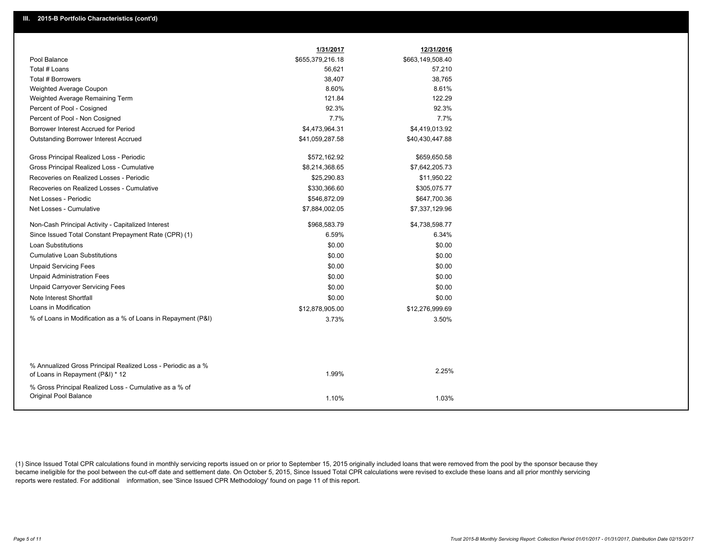|                                                                                                  | 1/31/2017        | 12/31/2016       |
|--------------------------------------------------------------------------------------------------|------------------|------------------|
| Pool Balance                                                                                     | \$655,379,216.18 | \$663,149,508.40 |
| Total # Loans                                                                                    | 56,621           | 57,210           |
| Total # Borrowers                                                                                | 38,407           | 38,765           |
| Weighted Average Coupon                                                                          | 8.60%            | 8.61%            |
| Weighted Average Remaining Term                                                                  | 121.84           | 122.29           |
| Percent of Pool - Cosigned                                                                       | 92.3%            | 92.3%            |
| Percent of Pool - Non Cosigned                                                                   | 7.7%             | 7.7%             |
| Borrower Interest Accrued for Period                                                             | \$4,473,964.31   | \$4,419,013.92   |
| <b>Outstanding Borrower Interest Accrued</b>                                                     | \$41,059,287.58  | \$40,430,447.88  |
| Gross Principal Realized Loss - Periodic                                                         | \$572,162.92     | \$659,650.58     |
| Gross Principal Realized Loss - Cumulative                                                       | \$8,214,368.65   | \$7,642,205.73   |
| Recoveries on Realized Losses - Periodic                                                         | \$25,290.83      | \$11,950.22      |
| Recoveries on Realized Losses - Cumulative                                                       | \$330,366.60     | \$305,075.77     |
| Net Losses - Periodic                                                                            | \$546,872.09     | \$647,700.36     |
| Net Losses - Cumulative                                                                          | \$7,884,002.05   | \$7,337,129.96   |
| Non-Cash Principal Activity - Capitalized Interest                                               | \$968,583.79     | \$4,738,598.77   |
| Since Issued Total Constant Prepayment Rate (CPR) (1)                                            | 6.59%            | 6.34%            |
| <b>Loan Substitutions</b>                                                                        | \$0.00           | \$0.00           |
| <b>Cumulative Loan Substitutions</b>                                                             | \$0.00           | \$0.00           |
| <b>Unpaid Servicing Fees</b>                                                                     | \$0.00           | \$0.00           |
| <b>Unpaid Administration Fees</b>                                                                | \$0.00           | \$0.00           |
| <b>Unpaid Carryover Servicing Fees</b>                                                           | \$0.00           | \$0.00           |
| Note Interest Shortfall                                                                          | \$0.00           | \$0.00           |
| Loans in Modification                                                                            | \$12,878,905.00  | \$12,276,999.69  |
| % of Loans in Modification as a % of Loans in Repayment (P&I)                                    | 3.73%            | 3.50%            |
|                                                                                                  |                  |                  |
|                                                                                                  |                  |                  |
| % Annualized Gross Principal Realized Loss - Periodic as a %<br>of Loans in Repayment (P&I) * 12 | 1.99%            | 2.25%            |
| % Gross Principal Realized Loss - Cumulative as a % of<br>Original Pool Balance                  | 1.10%            | 1.03%            |

(1) Since Issued Total CPR calculations found in monthly servicing reports issued on or prior to September 15, 2015 originally included loans that were removed from the pool by the sponsor because they became ineligible for the pool between the cut-off date and settlement date. On October 5, 2015, Since Issued Total CPR calculations were revised to exclude these loans and all prior monthly servicing reports were restated. For additional information, see 'Since Issued CPR Methodology' found on page 11 of this report.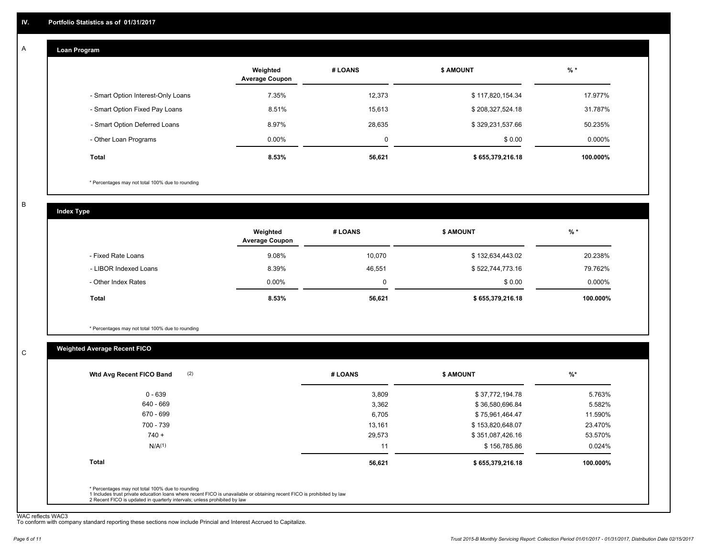#### **Loan Program**  A

|                                    | Weighted<br><b>Average Coupon</b> | # LOANS     | <b>\$ AMOUNT</b> | % *       |
|------------------------------------|-----------------------------------|-------------|------------------|-----------|
| - Smart Option Interest-Only Loans | 7.35%                             | 12,373      | \$117,820,154.34 | 17.977%   |
| - Smart Option Fixed Pay Loans     | 8.51%                             | 15,613      | \$208,327,524.18 | 31.787%   |
| - Smart Option Deferred Loans      | 8.97%                             | 28.635      | \$329,231,537.66 | 50.235%   |
| - Other Loan Programs              | $0.00\%$                          | $\mathbf 0$ | \$0.00           | $0.000\%$ |
| <b>Total</b>                       | 8.53%                             | 56,621      | \$655,379,216.18 | 100.000%  |

\* Percentages may not total 100% due to rounding

B

C

**Index Type**

|                       | Weighted<br><b>Average Coupon</b> | # LOANS | <b>\$ AMOUNT</b> | $%$ *     |
|-----------------------|-----------------------------------|---------|------------------|-----------|
| - Fixed Rate Loans    | 9.08%                             | 10,070  | \$132,634,443.02 | 20.238%   |
| - LIBOR Indexed Loans | 8.39%                             | 46.551  | \$522,744,773.16 | 79.762%   |
| - Other Index Rates   | $0.00\%$                          | 0       | \$0.00           | $0.000\%$ |
| Total                 | 8.53%                             | 56,621  | \$655,379,216.18 | 100.000%  |

\* Percentages may not total 100% due to rounding

# **Weighted Average Recent FICO**

| 3,809<br>3,362<br>6,705<br>13,161 | \$37,772,194.78<br>\$36,580,696.84<br>\$75,961,464.47<br>\$153,820,648.07 | 5.763%<br>5.582%<br>11.590% |
|-----------------------------------|---------------------------------------------------------------------------|-----------------------------|
|                                   |                                                                           |                             |
|                                   |                                                                           |                             |
|                                   |                                                                           |                             |
|                                   |                                                                           | 23.470%                     |
| 29,573                            | \$351,087,426.16                                                          | 53.570%                     |
| 11                                | \$156,785.86                                                              | 0.024%                      |
| 56,621                            | \$655,379,216.18                                                          | 100.000%                    |
|                                   |                                                                           |                             |

WAC reflects WAC3 To conform with company standard reporting these sections now include Princial and Interest Accrued to Capitalize.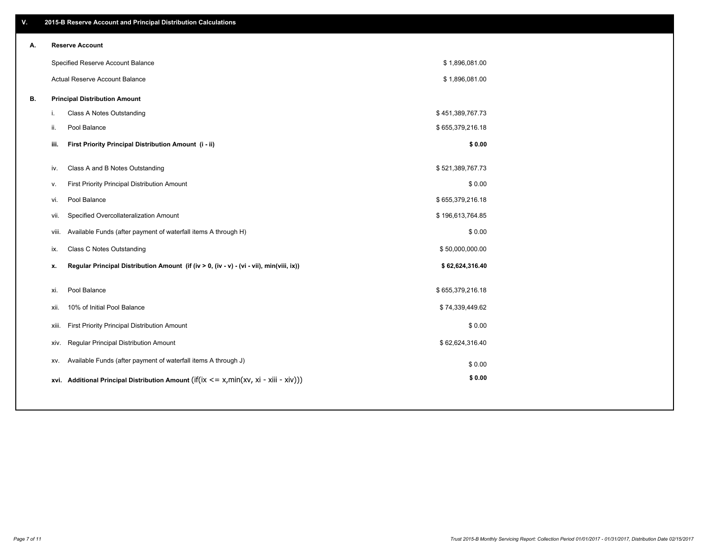| ۷. | 2015-B Reserve Account and Principal Distribution Calculations                                 |                  |  |
|----|------------------------------------------------------------------------------------------------|------------------|--|
| А. | <b>Reserve Account</b>                                                                         |                  |  |
|    | Specified Reserve Account Balance                                                              | \$1,896,081.00   |  |
|    | Actual Reserve Account Balance                                                                 | \$1,896,081.00   |  |
| В. | <b>Principal Distribution Amount</b>                                                           |                  |  |
|    | Class A Notes Outstanding<br>i.                                                                | \$451,389,767.73 |  |
|    | Pool Balance<br>ii.                                                                            | \$655,379,216.18 |  |
|    | iii.<br>First Priority Principal Distribution Amount (i - ii)                                  | \$0.00           |  |
|    |                                                                                                |                  |  |
|    | Class A and B Notes Outstanding<br>iv.                                                         | \$521,389,767.73 |  |
|    | First Priority Principal Distribution Amount<br>v.                                             | \$0.00           |  |
|    | Pool Balance<br>vi.                                                                            | \$655,379,216.18 |  |
|    | Specified Overcollateralization Amount<br>vii.                                                 | \$196,613,764.85 |  |
|    | Available Funds (after payment of waterfall items A through H)<br>viii.                        | \$0.00           |  |
|    | <b>Class C Notes Outstanding</b><br>ix.                                                        | \$50,000,000.00  |  |
|    | Regular Principal Distribution Amount (if (iv > 0, (iv - v) - (vi - vii), min(viii, ix))<br>x. | \$62,624,316.40  |  |
|    | Pool Balance<br>xi.                                                                            | \$655,379,216.18 |  |
|    | 10% of Initial Pool Balance<br>xii.                                                            | \$74,339,449.62  |  |
|    | First Priority Principal Distribution Amount<br>xiii.                                          | \$0.00           |  |
|    | Regular Principal Distribution Amount<br>XIV.                                                  | \$62,624,316.40  |  |
|    | Available Funds (after payment of waterfall items A through J)<br>XV.                          | \$0.00           |  |
|    | xvi. Additional Principal Distribution Amount (if(ix $\lt$ = x, min(xv, xi - xiii - xiv)))     | \$0.00           |  |
|    |                                                                                                |                  |  |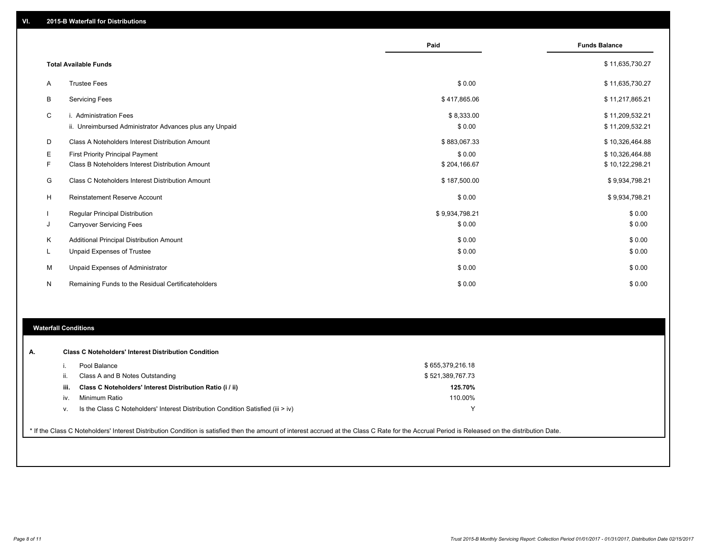|           |                                                         | Paid           | <b>Funds Balance</b> |
|-----------|---------------------------------------------------------|----------------|----------------------|
|           |                                                         |                |                      |
|           | <b>Total Available Funds</b>                            |                | \$11,635,730.27      |
| A         | <b>Trustee Fees</b>                                     | \$0.00         | \$11,635,730.27      |
| B         | <b>Servicing Fees</b>                                   | \$417,865.06   | \$11,217,865.21      |
| C         | i. Administration Fees                                  | \$8,333.00     | \$11,209,532.21      |
|           | ii. Unreimbursed Administrator Advances plus any Unpaid | \$0.00         | \$11,209,532.21      |
| D         | Class A Noteholders Interest Distribution Amount        | \$883,067.33   | \$10,326,464.88      |
| Ε         | <b>First Priority Principal Payment</b>                 | \$0.00         | \$10,326,464.88      |
| F         | Class B Noteholders Interest Distribution Amount        | \$204,166.67   | \$10,122,298.21      |
| G         | Class C Noteholders Interest Distribution Amount        | \$187,500.00   | \$9,934,798.21       |
| н         | <b>Reinstatement Reserve Account</b>                    | \$0.00         | \$9,934,798.21       |
|           | <b>Regular Principal Distribution</b>                   | \$9,934,798.21 | \$0.00               |
| J         | <b>Carryover Servicing Fees</b>                         | \$0.00         | \$0.00               |
| K         | Additional Principal Distribution Amount                | \$0.00         | \$0.00               |
| ч.        | Unpaid Expenses of Trustee                              | \$0.00         | \$0.00               |
| М         | Unpaid Expenses of Administrator                        | \$0.00         | \$0.00               |
| ${\sf N}$ | Remaining Funds to the Residual Certificateholders      | \$0.00         | \$0.00               |

### **Waterfall Conditions**

|      | Pool Balance                                                                     | \$655,379,216.18 |  |
|------|----------------------------------------------------------------------------------|------------------|--|
|      | Class A and B Notes Outstanding                                                  | \$521,389,767.73 |  |
| iii. | Class C Noteholders' Interest Distribution Ratio (i / ii)                        | 125.70%          |  |
| iv.  | Minimum Ratio                                                                    | 110.00%          |  |
| V.   | Is the Class C Noteholders' Interest Distribution Condition Satisfied (iii > iv) |                  |  |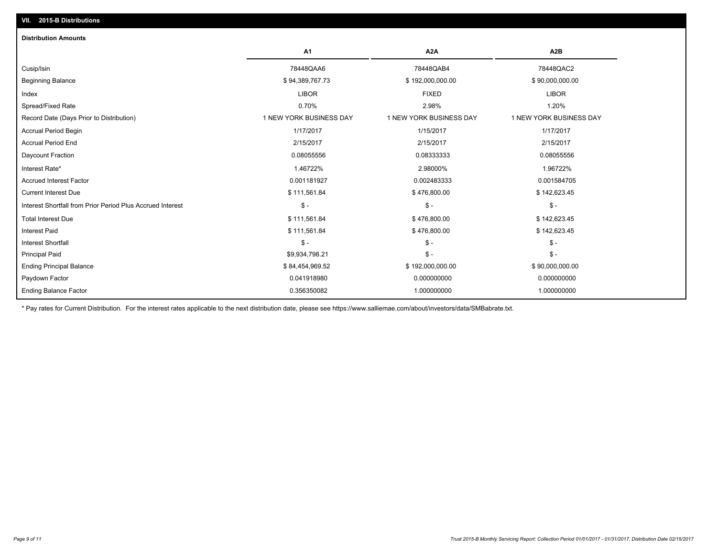| A1<br>A2B<br>A <sub>2</sub> A<br>78448QAA6<br>78448QAB4<br>78448QAC2<br>\$94,389,767.73<br>\$90,000,000.00<br>\$192,000,000.00<br><b>LIBOR</b><br><b>LIBOR</b><br><b>FIXED</b><br>0.70%<br>2.98%<br>1.20%<br>1 NEW YORK BUSINESS DAY<br>1 NEW YORK BUSINESS DAY<br>1 NEW YORK BUSINESS DAY<br>1/17/2017<br>1/15/2017<br>1/17/2017<br>2/15/2017<br>2/15/2017<br>2/15/2017<br>0.08055556<br>0.08333333<br>0.08055556<br>1.46722%<br>2.98000%<br>1.96722%<br>0.001181927<br>0.002483333<br>0.001584705<br>\$111,561.84<br>\$476,800.00<br>\$142,623.45<br>$\mathcal{S}$ -<br>$\mathsf{\$}$ -<br>$\mathsf{\$}$ -<br>\$111,561.84<br>\$476,800.00<br>\$142,623.45<br>\$111,561.84<br>\$142,623.45<br>\$476,800.00<br>$\mathsf{\$}$ -<br>$\mathsf{\$}$ -<br>$S -$<br>$\mathsf{\$}$ -<br>$\mathsf{\$}$ -<br>\$9,934,798.21<br>\$84,454,969.52<br>\$192,000,000.00<br>\$90,000,000.00 | <b>Distribution Amounts</b>                                |             |             |             |
|-------------------------------------------------------------------------------------------------------------------------------------------------------------------------------------------------------------------------------------------------------------------------------------------------------------------------------------------------------------------------------------------------------------------------------------------------------------------------------------------------------------------------------------------------------------------------------------------------------------------------------------------------------------------------------------------------------------------------------------------------------------------------------------------------------------------------------------------------------------------------------|------------------------------------------------------------|-------------|-------------|-------------|
|                                                                                                                                                                                                                                                                                                                                                                                                                                                                                                                                                                                                                                                                                                                                                                                                                                                                               |                                                            |             |             |             |
|                                                                                                                                                                                                                                                                                                                                                                                                                                                                                                                                                                                                                                                                                                                                                                                                                                                                               | Cusip/Isin                                                 |             |             |             |
|                                                                                                                                                                                                                                                                                                                                                                                                                                                                                                                                                                                                                                                                                                                                                                                                                                                                               | <b>Beginning Balance</b>                                   |             |             |             |
|                                                                                                                                                                                                                                                                                                                                                                                                                                                                                                                                                                                                                                                                                                                                                                                                                                                                               | Index                                                      |             |             |             |
|                                                                                                                                                                                                                                                                                                                                                                                                                                                                                                                                                                                                                                                                                                                                                                                                                                                                               | Spread/Fixed Rate                                          |             |             |             |
|                                                                                                                                                                                                                                                                                                                                                                                                                                                                                                                                                                                                                                                                                                                                                                                                                                                                               | Record Date (Days Prior to Distribution)                   |             |             |             |
|                                                                                                                                                                                                                                                                                                                                                                                                                                                                                                                                                                                                                                                                                                                                                                                                                                                                               | <b>Accrual Period Begin</b>                                |             |             |             |
|                                                                                                                                                                                                                                                                                                                                                                                                                                                                                                                                                                                                                                                                                                                                                                                                                                                                               | <b>Accrual Period End</b>                                  |             |             |             |
|                                                                                                                                                                                                                                                                                                                                                                                                                                                                                                                                                                                                                                                                                                                                                                                                                                                                               | Daycount Fraction                                          |             |             |             |
|                                                                                                                                                                                                                                                                                                                                                                                                                                                                                                                                                                                                                                                                                                                                                                                                                                                                               | Interest Rate*                                             |             |             |             |
|                                                                                                                                                                                                                                                                                                                                                                                                                                                                                                                                                                                                                                                                                                                                                                                                                                                                               | <b>Accrued Interest Factor</b>                             |             |             |             |
|                                                                                                                                                                                                                                                                                                                                                                                                                                                                                                                                                                                                                                                                                                                                                                                                                                                                               | <b>Current Interest Due</b>                                |             |             |             |
|                                                                                                                                                                                                                                                                                                                                                                                                                                                                                                                                                                                                                                                                                                                                                                                                                                                                               | Interest Shortfall from Prior Period Plus Accrued Interest |             |             |             |
|                                                                                                                                                                                                                                                                                                                                                                                                                                                                                                                                                                                                                                                                                                                                                                                                                                                                               | <b>Total Interest Due</b>                                  |             |             |             |
|                                                                                                                                                                                                                                                                                                                                                                                                                                                                                                                                                                                                                                                                                                                                                                                                                                                                               | <b>Interest Paid</b>                                       |             |             |             |
|                                                                                                                                                                                                                                                                                                                                                                                                                                                                                                                                                                                                                                                                                                                                                                                                                                                                               | <b>Interest Shortfall</b>                                  |             |             |             |
|                                                                                                                                                                                                                                                                                                                                                                                                                                                                                                                                                                                                                                                                                                                                                                                                                                                                               | <b>Principal Paid</b>                                      |             |             |             |
|                                                                                                                                                                                                                                                                                                                                                                                                                                                                                                                                                                                                                                                                                                                                                                                                                                                                               | <b>Ending Principal Balance</b>                            |             |             |             |
|                                                                                                                                                                                                                                                                                                                                                                                                                                                                                                                                                                                                                                                                                                                                                                                                                                                                               | Paydown Factor                                             | 0.041918980 | 0.000000000 | 0.000000000 |
| 0.356350082<br>1.000000000<br>1.000000000                                                                                                                                                                                                                                                                                                                                                                                                                                                                                                                                                                                                                                                                                                                                                                                                                                     | <b>Ending Balance Factor</b>                               |             |             |             |

\* Pay rates for Current Distribution. For the interest rates applicable to the next distribution date, please see https://www.salliemae.com/about/investors/data/SMBabrate.txt.

**VII. 2015-B Distributions**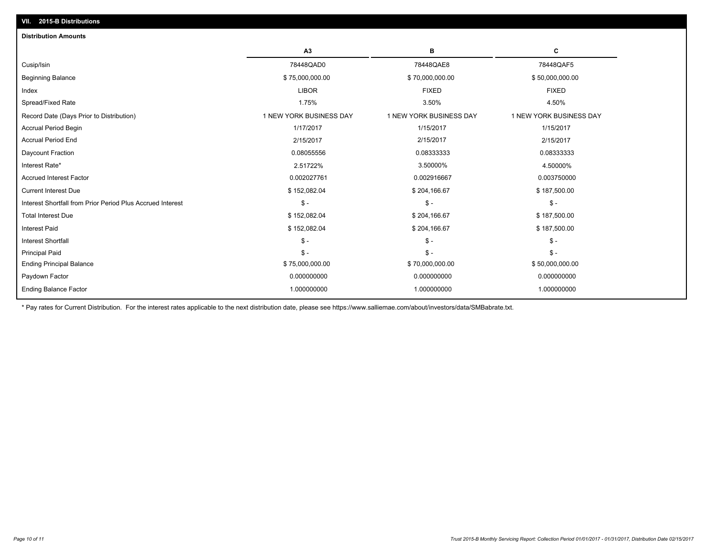| <b>Distribution Amounts</b>                                |                         |                         |                         |
|------------------------------------------------------------|-------------------------|-------------------------|-------------------------|
|                                                            | A <sub>3</sub>          | в                       | С                       |
| Cusip/Isin                                                 | 78448QAD0               | 78448QAE8               | 78448QAF5               |
| <b>Beginning Balance</b>                                   | \$75,000,000.00         | \$70,000,000.00         | \$50,000,000.00         |
| Index                                                      | <b>LIBOR</b>            | <b>FIXED</b>            | <b>FIXED</b>            |
| Spread/Fixed Rate                                          | 1.75%                   | 3.50%                   | 4.50%                   |
| Record Date (Days Prior to Distribution)                   | 1 NEW YORK BUSINESS DAY | 1 NEW YORK BUSINESS DAY | 1 NEW YORK BUSINESS DAY |
| <b>Accrual Period Begin</b>                                | 1/17/2017               | 1/15/2017               | 1/15/2017               |
| <b>Accrual Period End</b>                                  | 2/15/2017               | 2/15/2017               | 2/15/2017               |
| Daycount Fraction                                          | 0.08055556              | 0.08333333              | 0.08333333              |
| Interest Rate*                                             | 2.51722%                | 3.50000%                | 4.50000%                |
| <b>Accrued Interest Factor</b>                             | 0.002027761             | 0.002916667             | 0.003750000             |
| <b>Current Interest Due</b>                                | \$152,082.04            | \$204,166.67            | \$187,500.00            |
| Interest Shortfall from Prior Period Plus Accrued Interest | $\mathsf{\$}$ -         | $\mathsf{\$}$ -         | $\mathsf{\$}$ -         |
| <b>Total Interest Due</b>                                  | \$152,082.04            | \$204,166.67            | \$187,500.00            |
| <b>Interest Paid</b>                                       | \$152,082.04            | \$204,166.67            | \$187,500.00            |
| <b>Interest Shortfall</b>                                  | $\mathsf{\$}$ -         | $S -$                   | $\mathsf{\$}$ -         |
| <b>Principal Paid</b>                                      | $\mathsf{\$}$ -         | $S -$                   | $\mathsf{\$}$ -         |
| <b>Ending Principal Balance</b>                            | \$75,000,000.00         | \$70,000,000.00         | \$50,000,000.00         |
| Paydown Factor                                             | 0.000000000             | 0.000000000             | 0.000000000             |
| <b>Ending Balance Factor</b>                               | 1.000000000             | 1.000000000             | 1.000000000             |

\* Pay rates for Current Distribution. For the interest rates applicable to the next distribution date, please see https://www.salliemae.com/about/investors/data/SMBabrate.txt.

**VII. 2015-B Distributions**